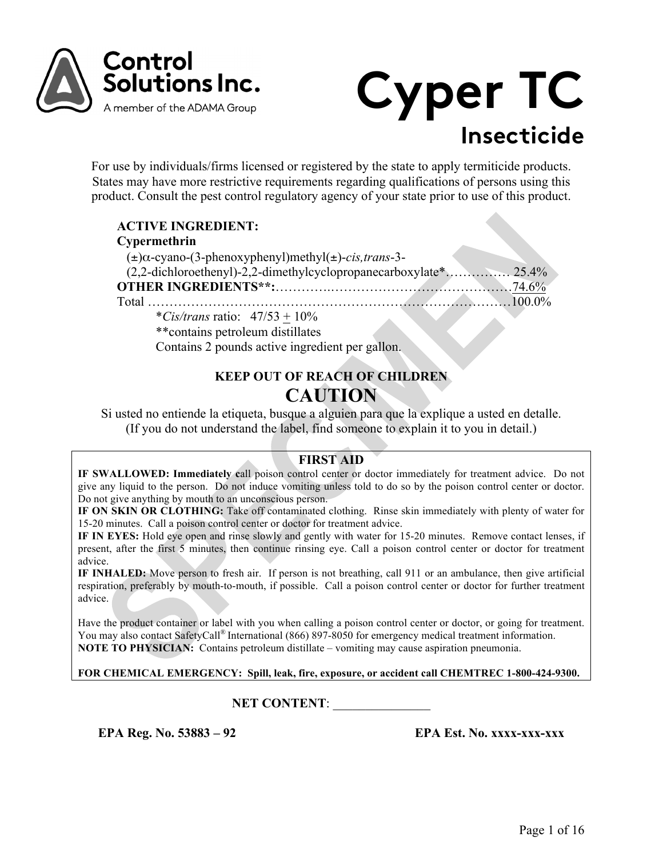



For use by individuals/firms licensed or registered by the state to apply termiticide products. States may have more restrictive requirements regarding qualifications of persons using this product. Consult the pest control regulatory agency of your state prior to use of this product.

| <b>ACTIVE INGREDIENT:</b>                                                    |  |
|------------------------------------------------------------------------------|--|
| Cypermethrin                                                                 |  |
| $(\pm) \alpha$ -cyano-(3-phenoxyphenyl)methyl( $\pm$ )- <i>cis,trans</i> -3- |  |
|                                                                              |  |
|                                                                              |  |
|                                                                              |  |
| *Cis/trans ratio: $47/53 + 10\%$                                             |  |
| ** contains petroleum distillates                                            |  |
| Contains 2 pounds active ingredient per gallon.                              |  |

# **KEEP OUT OF REACH OF CHILDREN CAUTION**

Si usted no entiende la etiqueta, busque a alguien para que la explique a usted en detalle. (If you do not understand the label, find someone to explain it to you in detail.)

## **FIRST AID**

**IF SWALLOWED: Immediately c**all poison control center or doctor immediately for treatment advice. Do not give any liquid to the person. Do not induce vomiting unless told to do so by the poison control center or doctor. Do not give anything by mouth to an unconscious person.

**IF ON SKIN OR CLOTHING:** Take off contaminated clothing. Rinse skin immediately with plenty of water for 15-20 minutes. Call a poison control center or doctor for treatment advice.

**IF IN EYES:** Hold eye open and rinse slowly and gently with water for 15-20 minutes. Remove contact lenses, if present, after the first 5 minutes, then continue rinsing eye. Call a poison control center or doctor for treatment advice.

**IF INHALED:** Move person to fresh air. If person is not breathing, call 911 or an ambulance, then give artificial respiration, preferably by mouth-to-mouth, if possible. Call a poison control center or doctor for further treatment advice.

Have the product container or label with you when calling a poison control center or doctor, or going for treatment. You may also contact SafetyCall<sup>®</sup> International (866) 897-8050 for emergency medical treatment information. **NOTE TO PHYSICIAN:** Contains petroleum distillate – vomiting may cause aspiration pneumonia.

**FOR CHEMICAL EMERGENCY: Spill, leak, fire, exposure, or accident call CHEMTREC 1-800-424-9300.**

## **NET CONTENT:**

**EPA Reg. No. 53883 – 92 EPA Est. No. xxxx-xxx-xxx**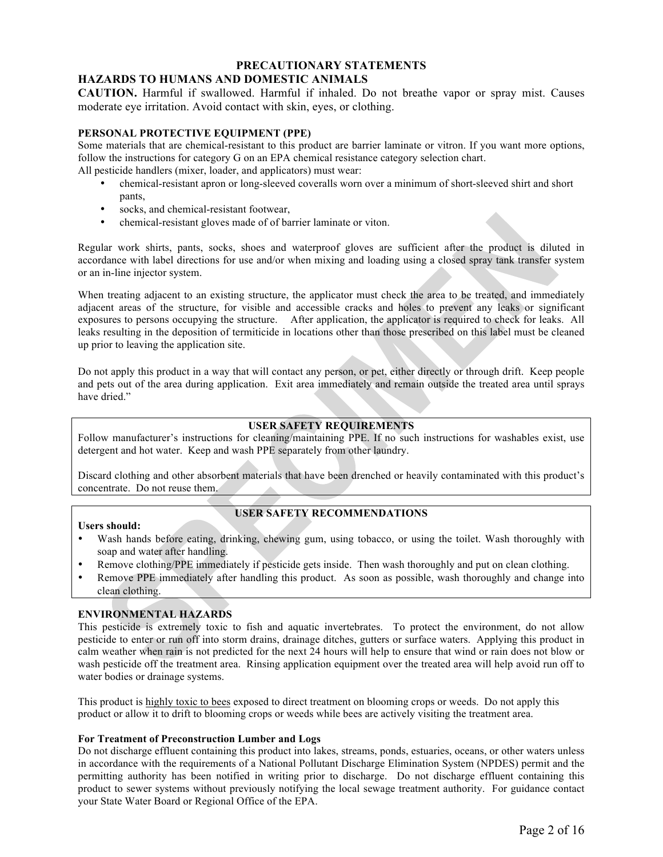#### **PRECAUTIONARY STATEMENTS HAZARDS TO HUMANS AND DOMESTIC ANIMALS**

**CAUTION.** Harmful if swallowed. Harmful if inhaled. Do not breathe vapor or spray mist. Causes moderate eye irritation. Avoid contact with skin, eyes, or clothing.

## **PERSONAL PROTECTIVE EQUIPMENT (PPE)**

Some materials that are chemical-resistant to this product are barrier laminate or vitron. If you want more options, follow the instructions for category G on an EPA chemical resistance category selection chart. All pesticide handlers (mixer, loader, and applicators) must wear:

- chemical-resistant apron or long-sleeved coveralls worn over a minimum of short-sleeved shirt and short pants,
- socks, and chemical-resistant footwear,
- chemical-resistant gloves made of of barrier laminate or viton.

Regular work shirts, pants, socks, shoes and waterproof gloves are sufficient after the product is diluted in accordance with label directions for use and/or when mixing and loading using a closed spray tank transfer system or an in-line injector system.

When treating adjacent to an existing structure, the applicator must check the area to be treated, and immediately adjacent areas of the structure, for visible and accessible cracks and holes to prevent any leaks or significant exposures to persons occupying the structure. After application, the applicator is required to check for leaks. All leaks resulting in the deposition of termiticide in locations other than those prescribed on this label must be cleaned up prior to leaving the application site.

Do not apply this product in a way that will contact any person, or pet, either directly or through drift. Keep people and pets out of the area during application. Exit area immediately and remain outside the treated area until sprays have dried."

## **USER SAFETY REQUIREMENTS**

Follow manufacturer's instructions for cleaning/maintaining PPE. If no such instructions for washables exist, use detergent and hot water. Keep and wash PPE separately from other laundry.

Discard clothing and other absorbent materials that have been drenched or heavily contaminated with this product's concentrate. Do not reuse them.

#### **Users should:**

## **USER SAFETY RECOMMENDATIONS**

- Wash hands before eating, drinking, chewing gum, using tobacco, or using the toilet. Wash thoroughly with soap and water after handling.
- Remove clothing/PPE immediately if pesticide gets inside. Then wash thoroughly and put on clean clothing.
- Remove PPE immediately after handling this product. As soon as possible, wash thoroughly and change into clean clothing.

## **ENVIRONMENTAL HAZARDS**

This pesticide is extremely toxic to fish and aquatic invertebrates. To protect the environment, do not allow pesticide to enter or run off into storm drains, drainage ditches, gutters or surface waters. Applying this product in calm weather when rain is not predicted for the next 24 hours will help to ensure that wind or rain does not blow or wash pesticide off the treatment area. Rinsing application equipment over the treated area will help avoid run off to water bodies or drainage systems.

This product is highly toxic to bees exposed to direct treatment on blooming crops or weeds. Do not apply this product or allow it to drift to blooming crops or weeds while bees are actively visiting the treatment area.

## **For Treatment of Preconstruction Lumber and Logs**

Do not discharge effluent containing this product into lakes, streams, ponds, estuaries, oceans, or other waters unless in accordance with the requirements of a National Pollutant Discharge Elimination System (NPDES) permit and the permitting authority has been notified in writing prior to discharge. Do not discharge effluent containing this product to sewer systems without previously notifying the local sewage treatment authority. For guidance contact your State Water Board or Regional Office of the EPA.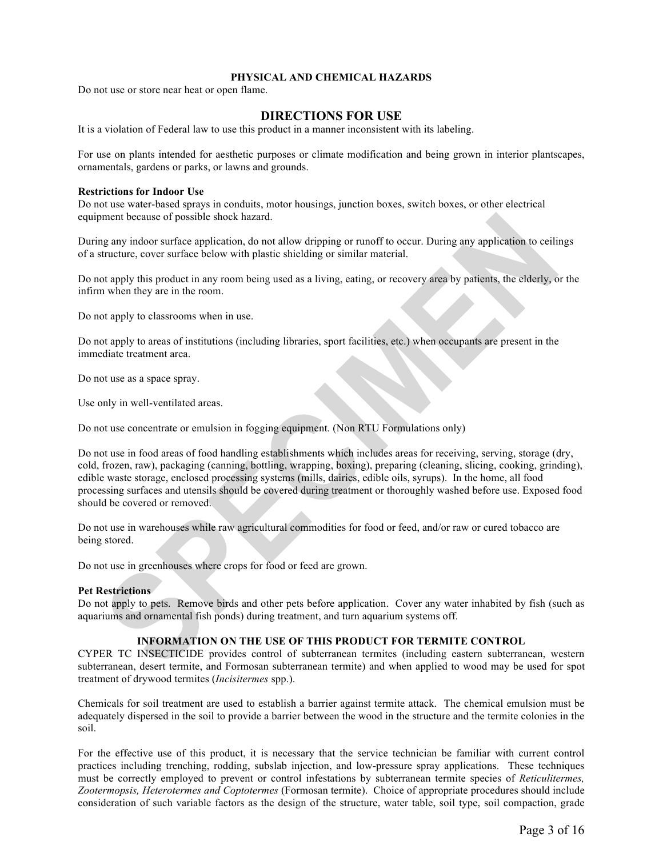## **PHYSICAL AND CHEMICAL HAZARDS**

Do not use or store near heat or open flame.

## **DIRECTIONS FOR USE**

It is a violation of Federal law to use this product in a manner inconsistent with its labeling.

For use on plants intended for aesthetic purposes or climate modification and being grown in interior plantscapes, ornamentals, gardens or parks, or lawns and grounds.

#### **Restrictions for Indoor Use**

Do not use water-based sprays in conduits, motor housings, junction boxes, switch boxes, or other electrical equipment because of possible shock hazard.

During any indoor surface application, do not allow dripping or runoff to occur. During any application to ceilings of a structure, cover surface below with plastic shielding or similar material.

Do not apply this product in any room being used as a living, eating, or recovery area by patients, the elderly, or the infirm when they are in the room.

Do not apply to classrooms when in use.

Do not apply to areas of institutions (including libraries, sport facilities, etc.) when occupants are present in the immediate treatment area.

Do not use as a space spray.

Use only in well-ventilated areas.

Do not use concentrate or emulsion in fogging equipment. (Non RTU Formulations only)

Do not use in food areas of food handling establishments which includes areas for receiving, serving, storage (dry, cold, frozen, raw), packaging (canning, bottling, wrapping, boxing), preparing (cleaning, slicing, cooking, grinding), edible waste storage, enclosed processing systems (mills, dairies, edible oils, syrups). In the home, all food processing surfaces and utensils should be covered during treatment or thoroughly washed before use. Exposed food should be covered or removed.

Do not use in warehouses while raw agricultural commodities for food or feed, and/or raw or cured tobacco are being stored.

Do not use in greenhouses where crops for food or feed are grown.

## **Pet Restrictions**

Do not apply to pets. Remove birds and other pets before application. Cover any water inhabited by fish (such as aquariums and ornamental fish ponds) during treatment, and turn aquarium systems off.

## **INFORMATION ON THE USE OF THIS PRODUCT FOR TERMITE CONTROL**

CYPER TC INSECTICIDE provides control of subterranean termites (including eastern subterranean, western subterranean, desert termite, and Formosan subterranean termite) and when applied to wood may be used for spot treatment of drywood termites (*Incisitermes* spp.).

Chemicals for soil treatment are used to establish a barrier against termite attack. The chemical emulsion must be adequately dispersed in the soil to provide a barrier between the wood in the structure and the termite colonies in the soil.

For the effective use of this product, it is necessary that the service technician be familiar with current control practices including trenching, rodding, subslab injection, and low-pressure spray applications. These techniques must be correctly employed to prevent or control infestations by subterranean termite species of *Reticulitermes, Zootermopsis, Heterotermes and Coptotermes* (Formosan termite). Choice of appropriate procedures should include consideration of such variable factors as the design of the structure, water table, soil type, soil compaction, grade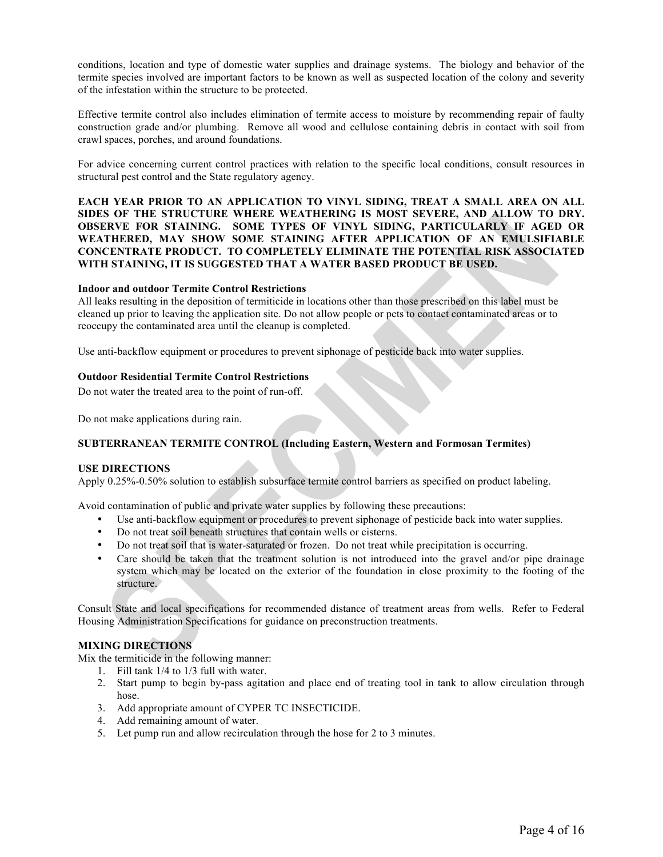conditions, location and type of domestic water supplies and drainage systems. The biology and behavior of the termite species involved are important factors to be known as well as suspected location of the colony and severity of the infestation within the structure to be protected.

Effective termite control also includes elimination of termite access to moisture by recommending repair of faulty construction grade and/or plumbing. Remove all wood and cellulose containing debris in contact with soil from crawl spaces, porches, and around foundations.

For advice concerning current control practices with relation to the specific local conditions, consult resources in structural pest control and the State regulatory agency.

**EACH YEAR PRIOR TO AN APPLICATION TO VINYL SIDING, TREAT A SMALL AREA ON ALL SIDES OF THE STRUCTURE WHERE WEATHERING IS MOST SEVERE, AND ALLOW TO DRY. OBSERVE FOR STAINING. SOME TYPES OF VINYL SIDING, PARTICULARLY IF AGED OR WEATHERED, MAY SHOW SOME STAINING AFTER APPLICATION OF AN EMULSIFIABLE CONCENTRATE PRODUCT. TO COMPLETELY ELIMINATE THE POTENTIAL RISK ASSOCIATED WITH STAINING, IT IS SUGGESTED THAT A WATER BASED PRODUCT BE USED.**

#### **Indoor and outdoor Termite Control Restrictions**

All leaks resulting in the deposition of termiticide in locations other than those prescribed on this label must be cleaned up prior to leaving the application site. Do not allow people or pets to contact contaminated areas or to reoccupy the contaminated area until the cleanup is completed.

Use anti-backflow equipment or procedures to prevent siphonage of pesticide back into water supplies.

#### **Outdoor Residential Termite Control Restrictions**

Do not water the treated area to the point of run-off.

Do not make applications during rain.

## **SUBTERRANEAN TERMITE CONTROL (Including Eastern, Western and Formosan Termites)**

#### **USE DIRECTIONS**

Apply 0.25%-0.50% solution to establish subsurface termite control barriers as specified on product labeling.

Avoid contamination of public and private water supplies by following these precautions:

- Use anti-backflow equipment or procedures to prevent siphonage of pesticide back into water supplies.
- Do not treat soil beneath structures that contain wells or cisterns.
- Do not treat soil that is water-saturated or frozen. Do not treat while precipitation is occurring.
- Care should be taken that the treatment solution is not introduced into the gravel and/or pipe drainage system which may be located on the exterior of the foundation in close proximity to the footing of the structure.

Consult State and local specifications for recommended distance of treatment areas from wells. Refer to Federal Housing Administration Specifications for guidance on preconstruction treatments.

## **MIXING DIRECTIONS**

Mix the termiticide in the following manner:

- 1. Fill tank 1/4 to 1/3 full with water.
- 2. Start pump to begin by-pass agitation and place end of treating tool in tank to allow circulation through hose.
- 3. Add appropriate amount of CYPER TC INSECTICIDE.
- 4. Add remaining amount of water.
- 5. Let pump run and allow recirculation through the hose for 2 to 3 minutes.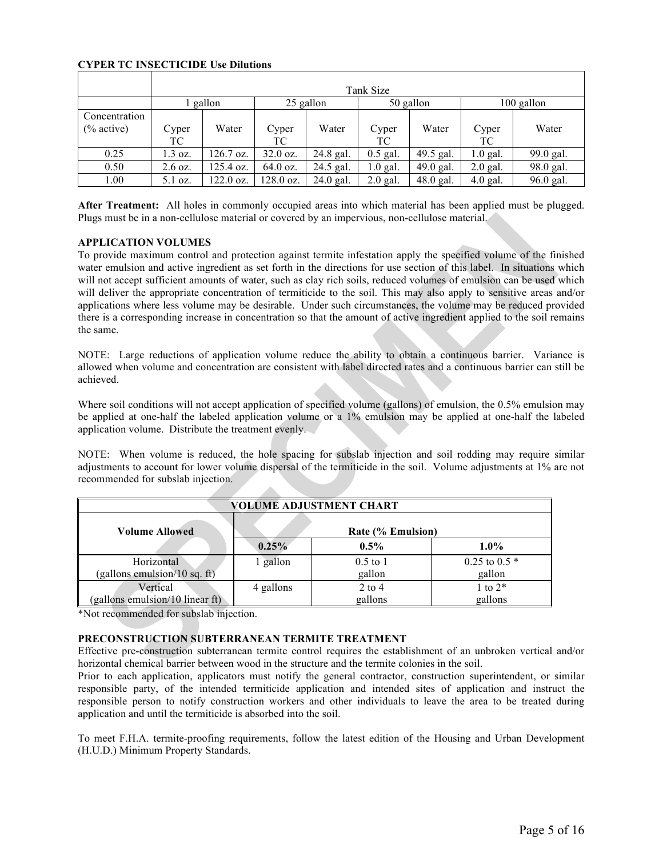## **CYPER TC INSECTICIDE Use Dilutions**

|                              | Tank Size         |           |             |             |             |           |             |            |
|------------------------------|-------------------|-----------|-------------|-------------|-------------|-----------|-------------|------------|
|                              |                   | gallon    |             | 25 gallon   |             | 50 gallon |             | 100 gallon |
| Concentration<br>$%$ active) | Cyper<br>TС       | Water     | Cyper<br>ТC | Water       | Cyper<br>ТC | Water     | Cyper<br>TC | Water      |
| 0.25                         | 1.3 oz.           | 126.7 oz. | $32.0$ oz.  | 24.8 gal.   | $0.5$ gal.  | 49.5 gal. | $1.0$ gal.  | 99.0 gal.  |
| 0.50                         | $2.6 \text{ oz.}$ | 125.4 oz. | $64.0$ oz.  | 24.5 gal.   | $1.0$ gal.  | 49.0 gal. | $2.0$ gal.  | 98.0 gal.  |
| 1.00                         | $5.1$ oz.         | 122.0 oz. | $128.0$ oz. | $24.0$ gal. | $2.0$ gal.  | 48.0 gal. | $4.0$ gal.  | 96.0 gal.  |

**After Treatment:** All holes in commonly occupied areas into which material has been applied must be plugged. Plugs must be in a non-cellulose material or covered by an impervious, non-cellulose material.

## **APPLICATION VOLUMES**

To provide maximum control and protection against termite infestation apply the specified volume of the finished water emulsion and active ingredient as set forth in the directions for use section of this label. In situations which will not accept sufficient amounts of water, such as clay rich soils, reduced volumes of emulsion can be used which will deliver the appropriate concentration of termiticide to the soil. This may also apply to sensitive areas and/or applications where less volume may be desirable. Under such circumstances, the volume may be reduced provided there is a corresponding increase in concentration so that the amount of active ingredient applied to the soil remains the same.

NOTE: Large reductions of application volume reduce the ability to obtain a continuous barrier. Variance is allowed when volume and concentration are consistent with label directed rates and a continuous barrier can still be achieved.

Where soil conditions will not accept application of specified volume (gallons) of emulsion, the 0.5% emulsion may be applied at one-half the labeled application volume or a 1% emulsion may be applied at one-half the labeled application volume. Distribute the treatment evenly.

NOTE: When volume is reduced, the hole spacing for subslab injection and soil rodding may require similar adjustments to account for lower volume dispersal of the termiticide in the soil. Volume adjustments at 1% are not recommended for subslab injection.

| VOLUME ADJUSTMENT CHART         |                   |            |                  |  |
|---------------------------------|-------------------|------------|------------------|--|
| <b>Volume Allowed</b>           | Rate (% Emulsion) |            |                  |  |
|                                 | 0.25%             | $0.5\%$    | $1.0\%$          |  |
| Horizontal                      | 1 gallon          | $0.5$ to 1 | $0.25$ to $0.5*$ |  |
| (gallons emulsion/10 sq. ft)    |                   | gallon     | gallon           |  |
| Vertical                        | 4 gallons         | $2$ to 4   | 1 to $2*$        |  |
| (gallons emulsion/10 linear ft) |                   | gallons    | gallons          |  |

\*Not recommended for subslab injection.

## **PRECONSTRUCTION SUBTERRANEAN TERMITE TREATMENT**

Effective pre-construction subterranean termite control requires the establishment of an unbroken vertical and/or horizontal chemical barrier between wood in the structure and the termite colonies in the soil.

Prior to each application, applicators must notify the general contractor, construction superintendent, or similar responsible party, of the intended termiticide application and intended sites of application and instruct the responsible person to notify construction workers and other individuals to leave the area to be treated during application and until the termiticide is absorbed into the soil.

To meet F.H.A. termite-proofing requirements, follow the latest edition of the Housing and Urban Development (H.U.D.) Minimum Property Standards.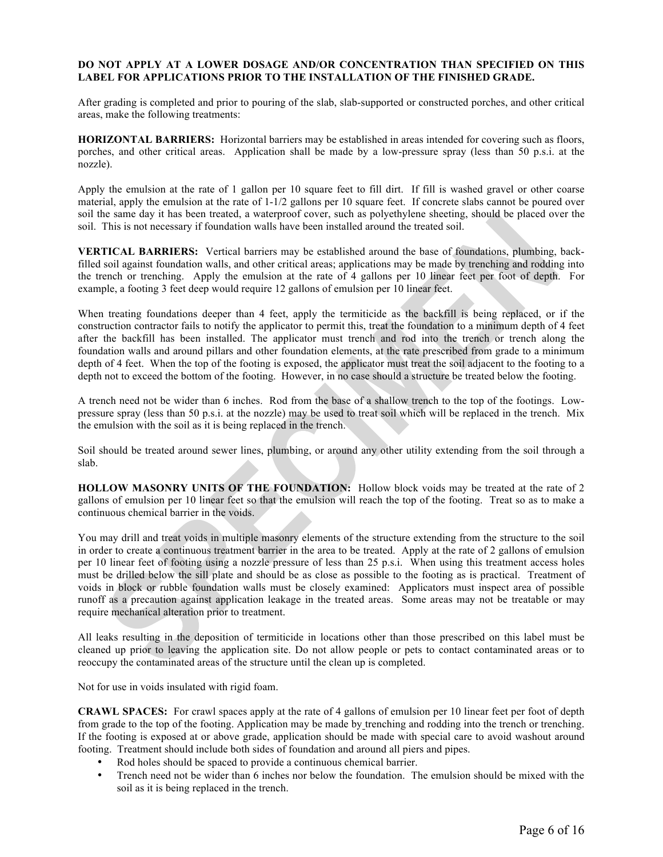## **DO NOT APPLY AT A LOWER DOSAGE AND/OR CONCENTRATION THAN SPECIFIED ON THIS LABEL FOR APPLICATIONS PRIOR TO THE INSTALLATION OF THE FINISHED GRADE.**

After grading is completed and prior to pouring of the slab, slab-supported or constructed porches, and other critical areas, make the following treatments:

**HORIZONTAL BARRIERS:** Horizontal barriers may be established in areas intended for covering such as floors, porches, and other critical areas. Application shall be made by a low-pressure spray (less than 50 p.s.i. at the nozzle).

Apply the emulsion at the rate of 1 gallon per 10 square feet to fill dirt. If fill is washed gravel or other coarse material, apply the emulsion at the rate of 1-1/2 gallons per 10 square feet. If concrete slabs cannot be poured over soil the same day it has been treated, a waterproof cover, such as polyethylene sheeting, should be placed over the soil. This is not necessary if foundation walls have been installed around the treated soil.

**VERTICAL BARRIERS:** Vertical barriers may be established around the base of foundations, plumbing, backfilled soil against foundation walls, and other critical areas; applications may be made by trenching and rodding into the trench or trenching. Apply the emulsion at the rate of 4 gallons per 10 linear feet per foot of depth. For example, a footing 3 feet deep would require 12 gallons of emulsion per 10 linear feet.

When treating foundations deeper than 4 feet, apply the termiticide as the backfill is being replaced, or if the construction contractor fails to notify the applicator to permit this, treat the foundation to a minimum depth of 4 feet after the backfill has been installed. The applicator must trench and rod into the trench or trench along the foundation walls and around pillars and other foundation elements, at the rate prescribed from grade to a minimum depth of 4 feet. When the top of the footing is exposed, the applicator must treat the soil adjacent to the footing to a depth not to exceed the bottom of the footing. However, in no case should a structure be treated below the footing.

A trench need not be wider than 6 inches. Rod from the base of a shallow trench to the top of the footings. Lowpressure spray (less than 50 p.s.i. at the nozzle) may be used to treat soil which will be replaced in the trench. Mix the emulsion with the soil as it is being replaced in the trench.

Soil should be treated around sewer lines, plumbing, or around any other utility extending from the soil through a slab.

**HOLLOW MASONRY UNITS OF THE FOUNDATION:** Hollow block voids may be treated at the rate of 2 gallons of emulsion per 10 linear feet so that the emulsion will reach the top of the footing. Treat so as to make a continuous chemical barrier in the voids.

You may drill and treat voids in multiple masonry elements of the structure extending from the structure to the soil in order to create a continuous treatment barrier in the area to be treated. Apply at the rate of 2 gallons of emulsion per 10 linear feet of footing using a nozzle pressure of less than 25 p.s.i. When using this treatment access holes must be drilled below the sill plate and should be as close as possible to the footing as is practical. Treatment of voids in block or rubble foundation walls must be closely examined: Applicators must inspect area of possible runoff as a precaution against application leakage in the treated areas. Some areas may not be treatable or may require mechanical alteration prior to treatment.

All leaks resulting in the deposition of termiticide in locations other than those prescribed on this label must be cleaned up prior to leaving the application site. Do not allow people or pets to contact contaminated areas or to reoccupy the contaminated areas of the structure until the clean up is completed.

Not for use in voids insulated with rigid foam.

**CRAWL SPACES:** For crawl spaces apply at the rate of 4 gallons of emulsion per 10 linear feet per foot of depth from grade to the top of the footing. Application may be made by trenching and rodding into the trench or trenching. If the footing is exposed at or above grade, application should be made with special care to avoid washout around footing. Treatment should include both sides of foundation and around all piers and pipes.

- Rod holes should be spaced to provide a continuous chemical barrier.
- Trench need not be wider than 6 inches nor below the foundation. The emulsion should be mixed with the soil as it is being replaced in the trench.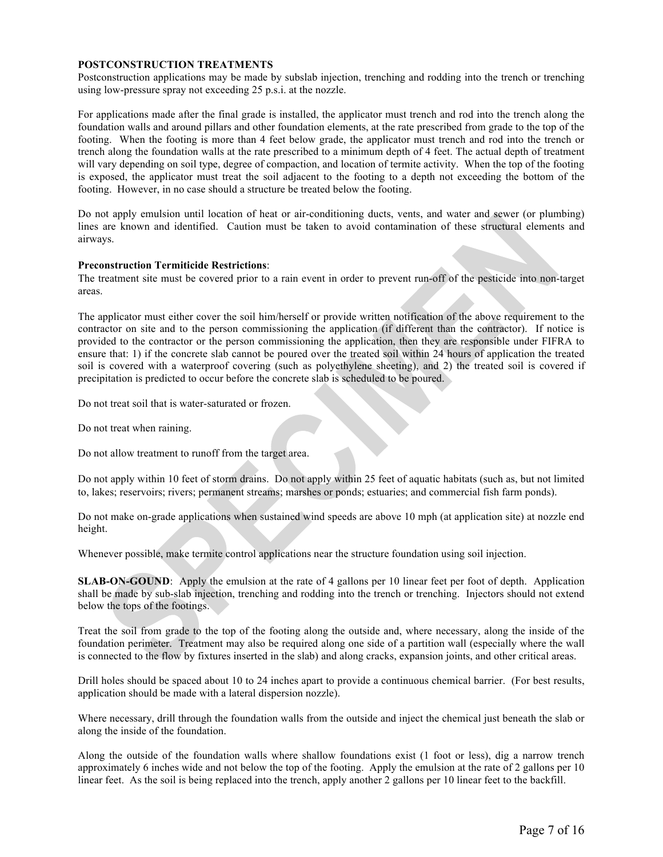#### **POSTCONSTRUCTION TREATMENTS**

Postconstruction applications may be made by subslab injection, trenching and rodding into the trench or trenching using low-pressure spray not exceeding 25 p.s.i. at the nozzle.

For applications made after the final grade is installed, the applicator must trench and rod into the trench along the foundation walls and around pillars and other foundation elements, at the rate prescribed from grade to the top of the footing. When the footing is more than 4 feet below grade, the applicator must trench and rod into the trench or trench along the foundation walls at the rate prescribed to a minimum depth of 4 feet. The actual depth of treatment will vary depending on soil type, degree of compaction, and location of termite activity. When the top of the footing is exposed, the applicator must treat the soil adjacent to the footing to a depth not exceeding the bottom of the footing. However, in no case should a structure be treated below the footing.

Do not apply emulsion until location of heat or air-conditioning ducts, vents, and water and sewer (or plumbing) lines are known and identified. Caution must be taken to avoid contamination of these structural elements and airways.

#### **Preconstruction Termiticide Restrictions**:

The treatment site must be covered prior to a rain event in order to prevent run-off of the pesticide into non-target areas.

The applicator must either cover the soil him/herself or provide written notification of the above requirement to the contractor on site and to the person commissioning the application (if different than the contractor). If notice is provided to the contractor or the person commissioning the application, then they are responsible under FIFRA to ensure that: 1) if the concrete slab cannot be poured over the treated soil within 24 hours of application the treated soil is covered with a waterproof covering (such as polyethylene sheeting), and 2) the treated soil is covered if precipitation is predicted to occur before the concrete slab is scheduled to be poured.

Do not treat soil that is water-saturated or frozen.

Do not treat when raining.

Do not allow treatment to runoff from the target area.

Do not apply within 10 feet of storm drains. Do not apply within 25 feet of aquatic habitats (such as, but not limited to, lakes; reservoirs; rivers; permanent streams; marshes or ponds; estuaries; and commercial fish farm ponds).

Do not make on-grade applications when sustained wind speeds are above 10 mph (at application site) at nozzle end height.

Whenever possible, make termite control applications near the structure foundation using soil injection.

**SLAB-ON-GOUND**: Apply the emulsion at the rate of 4 gallons per 10 linear feet per foot of depth. Application shall be made by sub-slab injection, trenching and rodding into the trench or trenching. Injectors should not extend below the tops of the footings.

Treat the soil from grade to the top of the footing along the outside and, where necessary, along the inside of the foundation perimeter. Treatment may also be required along one side of a partition wall (especially where the wall is connected to the flow by fixtures inserted in the slab) and along cracks, expansion joints, and other critical areas.

Drill holes should be spaced about 10 to 24 inches apart to provide a continuous chemical barrier. (For best results, application should be made with a lateral dispersion nozzle).

Where necessary, drill through the foundation walls from the outside and inject the chemical just beneath the slab or along the inside of the foundation.

Along the outside of the foundation walls where shallow foundations exist (1 foot or less), dig a narrow trench approximately 6 inches wide and not below the top of the footing. Apply the emulsion at the rate of 2 gallons per 10 linear feet. As the soil is being replaced into the trench, apply another 2 gallons per 10 linear feet to the backfill.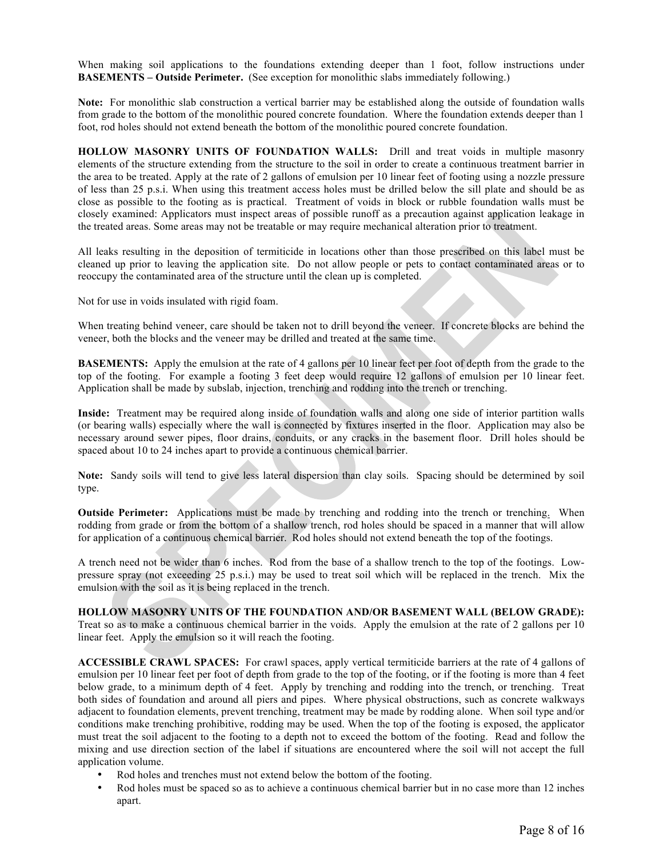When making soil applications to the foundations extending deeper than 1 foot, follow instructions under **BASEMENTS – Outside Perimeter.** (See exception for monolithic slabs immediately following.)

**Note:** For monolithic slab construction a vertical barrier may be established along the outside of foundation walls from grade to the bottom of the monolithic poured concrete foundation. Where the foundation extends deeper than 1 foot, rod holes should not extend beneath the bottom of the monolithic poured concrete foundation.

**HOLLOW MASONRY UNITS OF FOUNDATION WALLS:** Drill and treat voids in multiple masonry elements of the structure extending from the structure to the soil in order to create a continuous treatment barrier in the area to be treated. Apply at the rate of 2 gallons of emulsion per 10 linear feet of footing using a nozzle pressure of less than 25 p.s.i. When using this treatment access holes must be drilled below the sill plate and should be as close as possible to the footing as is practical. Treatment of voids in block or rubble foundation walls must be closely examined: Applicators must inspect areas of possible runoff as a precaution against application leakage in the treated areas. Some areas may not be treatable or may require mechanical alteration prior to treatment.

All leaks resulting in the deposition of termiticide in locations other than those prescribed on this label must be cleaned up prior to leaving the application site. Do not allow people or pets to contact contaminated areas or to reoccupy the contaminated area of the structure until the clean up is completed.

Not for use in voids insulated with rigid foam.

When treating behind veneer, care should be taken not to drill beyond the veneer. If concrete blocks are behind the veneer, both the blocks and the veneer may be drilled and treated at the same time.

**BASEMENTS:** Apply the emulsion at the rate of 4 gallons per 10 linear feet per foot of depth from the grade to the top of the footing. For example a footing 3 feet deep would require 12 gallons of emulsion per 10 linear feet. Application shall be made by subslab, injection, trenching and rodding into the trench or trenching.

**Inside:** Treatment may be required along inside of foundation walls and along one side of interior partition walls (or bearing walls) especially where the wall is connected by fixtures inserted in the floor. Application may also be necessary around sewer pipes, floor drains, conduits, or any cracks in the basement floor. Drill holes should be spaced about 10 to 24 inches apart to provide a continuous chemical barrier.

**Note:** Sandy soils will tend to give less lateral dispersion than clay soils. Spacing should be determined by soil type.

**Outside Perimeter:** Applications must be made by trenching and rodding into the trench or trenching. When rodding from grade or from the bottom of a shallow trench, rod holes should be spaced in a manner that will allow for application of a continuous chemical barrier. Rod holes should not extend beneath the top of the footings.

A trench need not be wider than 6 inches. Rod from the base of a shallow trench to the top of the footings. Lowpressure spray (not exceeding 25 p.s.i.) may be used to treat soil which will be replaced in the trench. Mix the emulsion with the soil as it is being replaced in the trench.

**HOLLOW MASONRY UNITS OF THE FOUNDATION AND/OR BASEMENT WALL (BELOW GRADE):** Treat so as to make a continuous chemical barrier in the voids. Apply the emulsion at the rate of 2 gallons per 10 linear feet. Apply the emulsion so it will reach the footing.

**ACCESSIBLE CRAWL SPACES:** For crawl spaces, apply vertical termiticide barriers at the rate of 4 gallons of emulsion per 10 linear feet per foot of depth from grade to the top of the footing, or if the footing is more than 4 feet below grade, to a minimum depth of 4 feet. Apply by trenching and rodding into the trench, or trenching. Treat both sides of foundation and around all piers and pipes. Where physical obstructions, such as concrete walkways adjacent to foundation elements, prevent trenching, treatment may be made by rodding alone. When soil type and/or conditions make trenching prohibitive, rodding may be used. When the top of the footing is exposed, the applicator must treat the soil adjacent to the footing to a depth not to exceed the bottom of the footing. Read and follow the mixing and use direction section of the label if situations are encountered where the soil will not accept the full application volume.

- Rod holes and trenches must not extend below the bottom of the footing.
- Rod holes must be spaced so as to achieve a continuous chemical barrier but in no case more than 12 inches apart.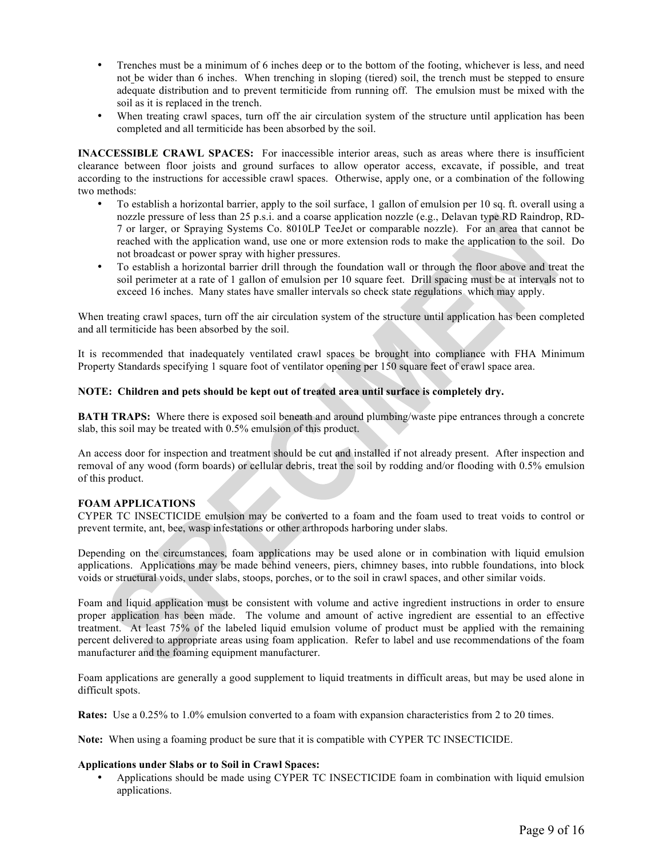- Trenches must be a minimum of 6 inches deep or to the bottom of the footing, whichever is less, and need not be wider than 6 inches. When trenching in sloping (tiered) soil, the trench must be stepped to ensure adequate distribution and to prevent termiticide from running off. The emulsion must be mixed with the soil as it is replaced in the trench.
- When treating crawl spaces, turn off the air circulation system of the structure until application has been completed and all termiticide has been absorbed by the soil.

**INACCESSIBLE CRAWL SPACES:** For inaccessible interior areas, such as areas where there is insufficient clearance between floor joists and ground surfaces to allow operator access, excavate, if possible, and treat according to the instructions for accessible crawl spaces. Otherwise, apply one, or a combination of the following two methods:

- To establish a horizontal barrier, apply to the soil surface, 1 gallon of emulsion per 10 sq. ft. overall using a nozzle pressure of less than 25 p.s.i. and a coarse application nozzle (e.g., Delavan type RD Raindrop, RD-7 or larger, or Spraying Systems Co. 8010LP TeeJet or comparable nozzle). For an area that cannot be reached with the application wand, use one or more extension rods to make the application to the soil. Do not broadcast or power spray with higher pressures.
- To establish a horizontal barrier drill through the foundation wall or through the floor above and treat the soil perimeter at a rate of 1 gallon of emulsion per 10 square feet. Drill spacing must be at intervals not to exceed 16 inches. Many states have smaller intervals so check state regulations which may apply.

When treating crawl spaces, turn off the air circulation system of the structure until application has been completed and all termiticide has been absorbed by the soil.

It is recommended that inadequately ventilated crawl spaces be brought into compliance with FHA Minimum Property Standards specifying 1 square foot of ventilator opening per 150 square feet of crawl space area.

## **NOTE: Children and pets should be kept out of treated area until surface is completely dry.**

**BATH TRAPS:** Where there is exposed soil beneath and around plumbing/waste pipe entrances through a concrete slab, this soil may be treated with 0.5% emulsion of this product.

An access door for inspection and treatment should be cut and installed if not already present. After inspection and removal of any wood (form boards) or cellular debris, treat the soil by rodding and/or flooding with 0.5% emulsion of this product.

## **FOAM APPLICATIONS**

CYPER TC INSECTICIDE emulsion may be converted to a foam and the foam used to treat voids to control or prevent termite, ant, bee, wasp infestations or other arthropods harboring under slabs.

Depending on the circumstances, foam applications may be used alone or in combination with liquid emulsion applications. Applications may be made behind veneers, piers, chimney bases, into rubble foundations, into block voids or structural voids, under slabs, stoops, porches, or to the soil in crawl spaces, and other similar voids.

Foam and liquid application must be consistent with volume and active ingredient instructions in order to ensure proper application has been made. The volume and amount of active ingredient are essential to an effective treatment. At least 75% of the labeled liquid emulsion volume of product must be applied with the remaining percent delivered to appropriate areas using foam application. Refer to label and use recommendations of the foam manufacturer and the foaming equipment manufacturer.

Foam applications are generally a good supplement to liquid treatments in difficult areas, but may be used alone in difficult spots.

**Rates:** Use a 0.25% to 1.0% emulsion converted to a foam with expansion characteristics from 2 to 20 times.

**Note:** When using a foaming product be sure that it is compatible with CYPER TC INSECTICIDE.

## **Applications under Slabs or to Soil in Crawl Spaces:**

• Applications should be made using CYPER TC INSECTICIDE foam in combination with liquid emulsion applications.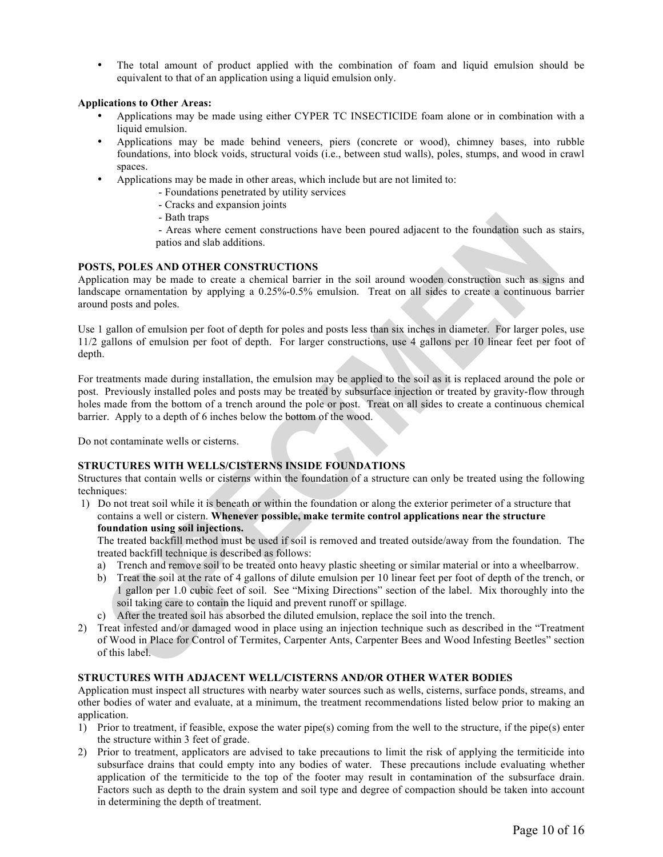• The total amount of product applied with the combination of foam and liquid emulsion should be equivalent to that of an application using a liquid emulsion only.

## **Applications to Other Areas:**

- Applications may be made using either CYPER TC INSECTICIDE foam alone or in combination with a liquid emulsion.
- Applications may be made behind veneers, piers (concrete or wood), chimney bases, into rubble foundations, into block voids, structural voids (i.e., between stud walls), poles, stumps, and wood in crawl spaces.
- Applications may be made in other areas, which include but are not limited to:
	- Foundations penetrated by utility services
	- Cracks and expansion joints
	- Bath traps

- Areas where cement constructions have been poured adjacent to the foundation such as stairs, patios and slab additions.

#### **POSTS, POLES AND OTHER CONSTRUCTIONS**

Application may be made to create a chemical barrier in the soil around wooden construction such as signs and landscape ornamentation by applying a 0.25%-0.5% emulsion. Treat on all sides to create a continuous barrier around posts and poles.

Use 1 gallon of emulsion per foot of depth for poles and posts less than six inches in diameter. For larger poles, use 11/2 gallons of emulsion per foot of depth. For larger constructions, use 4 gallons per 10 linear feet per foot of depth.

For treatments made during installation, the emulsion may be applied to the soil as it is replaced around the pole or post. Previously installed poles and posts may be treated by subsurface injection or treated by gravity-flow through holes made from the bottom of a trench around the pole or post. Treat on all sides to create a continuous chemical barrier. Apply to a depth of 6 inches below the bottom of the wood.

Do not contaminate wells or cisterns.

#### **STRUCTURES WITH WELLS/CISTERNS INSIDE FOUNDATIONS**

Structures that contain wells or cisterns within the foundation of a structure can only be treated using the following techniques:

1) Do not treat soil while it is beneath or within the foundation or along the exterior perimeter of a structure that contains a well or cistern. **Whenever possible, make termite control applications near the structure foundation using soil injections.**

The treated backfill method must be used if soil is removed and treated outside/away from the foundation. The treated backfill technique is described as follows:

- a) Trench and remove soil to be treated onto heavy plastic sheeting or similar material or into a wheelbarrow.
- b) Treat the soil at the rate of 4 gallons of dilute emulsion per 10 linear feet per foot of depth of the trench, or 1 gallon per 1.0 cubic feet of soil. See "Mixing Directions" section of the label. Mix thoroughly into the soil taking care to contain the liquid and prevent runoff or spillage.
- c) After the treated soil has absorbed the diluted emulsion, replace the soil into the trench.
- 2) Treat infested and/or damaged wood in place using an injection technique such as described in the "Treatment of Wood in Place for Control of Termites, Carpenter Ants, Carpenter Bees and Wood Infesting Beetles" section of this label.

#### **STRUCTURES WITH ADJACENT WELL/CISTERNS AND/OR OTHER WATER BODIES**

Application must inspect all structures with nearby water sources such as wells, cisterns, surface ponds, streams, and other bodies of water and evaluate, at a minimum, the treatment recommendations listed below prior to making an application.

- 1) Prior to treatment, if feasible, expose the water pipe(s) coming from the well to the structure, if the pipe(s) enter the structure within 3 feet of grade.
- 2) Prior to treatment, applicators are advised to take precautions to limit the risk of applying the termiticide into subsurface drains that could empty into any bodies of water. These precautions include evaluating whether application of the termiticide to the top of the footer may result in contamination of the subsurface drain. Factors such as depth to the drain system and soil type and degree of compaction should be taken into account in determining the depth of treatment.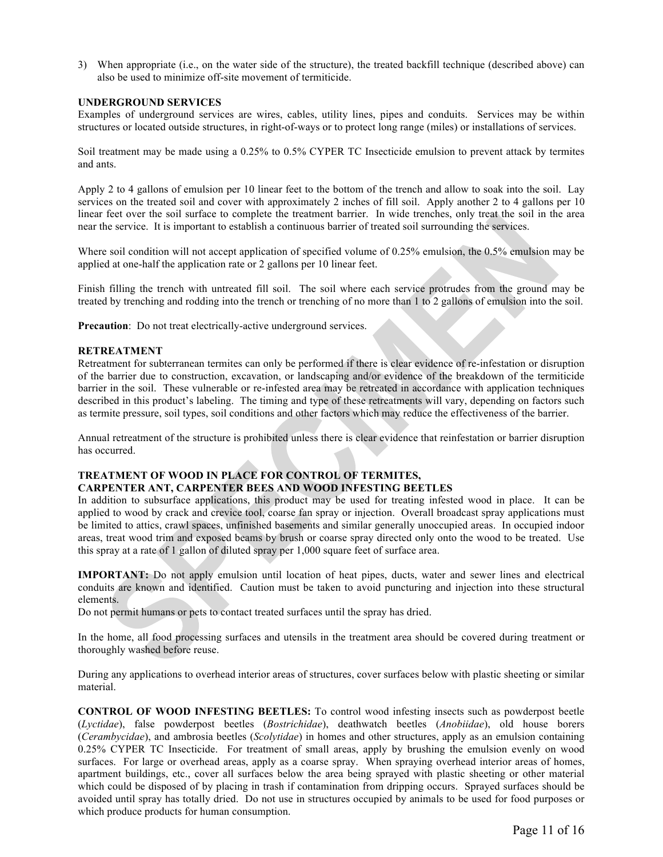3) When appropriate (i.e., on the water side of the structure), the treated backfill technique (described above) can also be used to minimize off-site movement of termiticide.

## **UNDERGROUND SERVICES**

Examples of underground services are wires, cables, utility lines, pipes and conduits. Services may be within structures or located outside structures, in right-of-ways or to protect long range (miles) or installations of services.

Soil treatment may be made using a 0.25% to 0.5% CYPER TC Insecticide emulsion to prevent attack by termites and ants.

Apply 2 to 4 gallons of emulsion per 10 linear feet to the bottom of the trench and allow to soak into the soil. Lay services on the treated soil and cover with approximately 2 inches of fill soil. Apply another 2 to 4 gallons per 10 linear feet over the soil surface to complete the treatment barrier. In wide trenches, only treat the soil in the area near the service. It is important to establish a continuous barrier of treated soil surrounding the services.

Where soil condition will not accept application of specified volume of 0.25% emulsion, the 0.5% emulsion may be applied at one-half the application rate or 2 gallons per 10 linear feet.

Finish filling the trench with untreated fill soil. The soil where each service protrudes from the ground may be treated by trenching and rodding into the trench or trenching of no more than 1 to 2 gallons of emulsion into the soil.

**Precaution**: Do not treat electrically-active underground services.

#### **RETREATMENT**

Retreatment for subterranean termites can only be performed if there is clear evidence of re-infestation or disruption of the barrier due to construction, excavation, or landscaping and/or evidence of the breakdown of the termiticide barrier in the soil. These vulnerable or re-infested area may be retreated in accordance with application techniques described in this product's labeling. The timing and type of these retreatments will vary, depending on factors such as termite pressure, soil types, soil conditions and other factors which may reduce the effectiveness of the barrier.

Annual retreatment of the structure is prohibited unless there is clear evidence that reinfestation or barrier disruption has occurred.

## **TREATMENT OF WOOD IN PLACE FOR CONTROL OF TERMITES,**

## **CARPENTER ANT, CARPENTER BEES AND WOOD INFESTING BEETLES**

In addition to subsurface applications, this product may be used for treating infested wood in place. It can be applied to wood by crack and crevice tool, coarse fan spray or injection. Overall broadcast spray applications must be limited to attics, crawl spaces, unfinished basements and similar generally unoccupied areas. In occupied indoor areas, treat wood trim and exposed beams by brush or coarse spray directed only onto the wood to be treated. Use this spray at a rate of 1 gallon of diluted spray per 1,000 square feet of surface area.

**IMPORTANT:** Do not apply emulsion until location of heat pipes, ducts, water and sewer lines and electrical conduits are known and identified. Caution must be taken to avoid puncturing and injection into these structural elements.

Do not permit humans or pets to contact treated surfaces until the spray has dried.

In the home, all food processing surfaces and utensils in the treatment area should be covered during treatment or thoroughly washed before reuse.

During any applications to overhead interior areas of structures, cover surfaces below with plastic sheeting or similar material.

**CONTROL OF WOOD INFESTING BEETLES:** To control wood infesting insects such as powderpost beetle (*Lyctidae*), false powderpost beetles (*Bostrichidae*), deathwatch beetles (*Anobiidae*), old house borers (*Cerambycidae*), and ambrosia beetles (*Scolytidae*) in homes and other structures, apply as an emulsion containing 0.25% CYPER TC Insecticide. For treatment of small areas, apply by brushing the emulsion evenly on wood surfaces. For large or overhead areas, apply as a coarse spray. When spraying overhead interior areas of homes, apartment buildings, etc., cover all surfaces below the area being sprayed with plastic sheeting or other material which could be disposed of by placing in trash if contamination from dripping occurs. Sprayed surfaces should be avoided until spray has totally dried. Do not use in structures occupied by animals to be used for food purposes or which produce products for human consumption.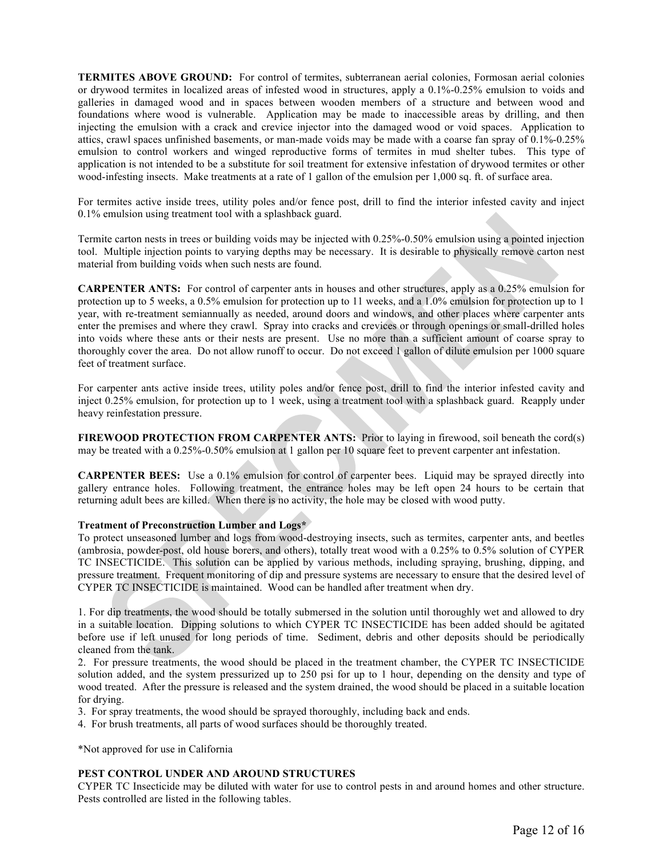**TERMITES ABOVE GROUND:** For control of termites, subterranean aerial colonies, Formosan aerial colonies or drywood termites in localized areas of infested wood in structures, apply a 0.1%-0.25% emulsion to voids and galleries in damaged wood and in spaces between wooden members of a structure and between wood and foundations where wood is vulnerable. Application may be made to inaccessible areas by drilling, and then injecting the emulsion with a crack and crevice injector into the damaged wood or void spaces. Application to attics, crawl spaces unfinished basements, or man-made voids may be made with a coarse fan spray of 0.1%-0.25% emulsion to control workers and winged reproductive forms of termites in mud shelter tubes. This type of application is not intended to be a substitute for soil treatment for extensive infestation of drywood termites or other wood-infesting insects. Make treatments at a rate of 1 gallon of the emulsion per 1,000 sq. ft. of surface area.

For termites active inside trees, utility poles and/or fence post, drill to find the interior infested cavity and inject 0.1% emulsion using treatment tool with a splashback guard.

Termite carton nests in trees or building voids may be injected with 0.25%-0.50% emulsion using a pointed injection tool. Multiple injection points to varying depths may be necessary. It is desirable to physically remove carton nest material from building voids when such nests are found.

**CARPENTER ANTS:** For control of carpenter ants in houses and other structures, apply as a 0.25% emulsion for protection up to 5 weeks, a 0.5% emulsion for protection up to 11 weeks, and a 1.0% emulsion for protection up to 1 year, with re-treatment semiannually as needed, around doors and windows, and other places where carpenter ants enter the premises and where they crawl. Spray into cracks and crevices or through openings or small-drilled holes into voids where these ants or their nests are present. Use no more than a sufficient amount of coarse spray to thoroughly cover the area. Do not allow runoff to occur. Do not exceed 1 gallon of dilute emulsion per 1000 square feet of treatment surface.

For carpenter ants active inside trees, utility poles and/or fence post, drill to find the interior infested cavity and inject 0.25% emulsion, for protection up to 1 week, using a treatment tool with a splashback guard. Reapply under heavy reinfestation pressure.

**FIREWOOD PROTECTION FROM CARPENTER ANTS:** Prior to laying in firewood, soil beneath the cord(s) may be treated with a 0.25%-0.50% emulsion at 1 gallon per 10 square feet to prevent carpenter ant infestation.

**CARPENTER BEES:** Use a 0.1% emulsion for control of carpenter bees. Liquid may be sprayed directly into gallery entrance holes. Following treatment, the entrance holes may be left open 24 hours to be certain that returning adult bees are killed. When there is no activity, the hole may be closed with wood putty.

#### **Treatment of Preconstruction Lumber and Logs\***

To protect unseasoned lumber and logs from wood-destroying insects, such as termites, carpenter ants, and beetles (ambrosia, powder-post, old house borers, and others), totally treat wood with a 0.25% to 0.5% solution of CYPER TC INSECTICIDE. This solution can be applied by various methods, including spraying, brushing, dipping, and pressure treatment. Frequent monitoring of dip and pressure systems are necessary to ensure that the desired level of CYPER TC INSECTICIDE is maintained. Wood can be handled after treatment when dry.

1. For dip treatments, the wood should be totally submersed in the solution until thoroughly wet and allowed to dry in a suitable location. Dipping solutions to which CYPER TC INSECTICIDE has been added should be agitated before use if left unused for long periods of time. Sediment, debris and other deposits should be periodically cleaned from the tank.

2. For pressure treatments, the wood should be placed in the treatment chamber, the CYPER TC INSECTICIDE solution added, and the system pressurized up to 250 psi for up to 1 hour, depending on the density and type of wood treated. After the pressure is released and the system drained, the wood should be placed in a suitable location for drying.

3. For spray treatments, the wood should be sprayed thoroughly, including back and ends.

4. For brush treatments, all parts of wood surfaces should be thoroughly treated.

\*Not approved for use in California

## **PEST CONTROL UNDER AND AROUND STRUCTURES**

CYPER TC Insecticide may be diluted with water for use to control pests in and around homes and other structure. Pests controlled are listed in the following tables.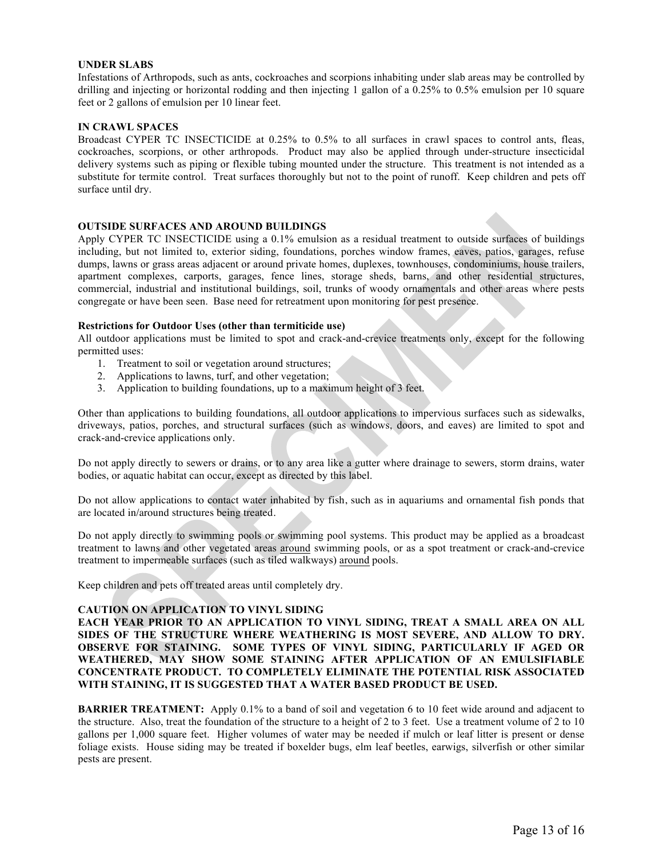#### **UNDER SLABS**

Infestations of Arthropods, such as ants, cockroaches and scorpions inhabiting under slab areas may be controlled by drilling and injecting or horizontal rodding and then injecting 1 gallon of a 0.25% to 0.5% emulsion per 10 square feet or 2 gallons of emulsion per 10 linear feet.

#### **IN CRAWL SPACES**

Broadcast CYPER TC INSECTICIDE at 0.25% to 0.5% to all surfaces in crawl spaces to control ants, fleas, cockroaches, scorpions, or other arthropods. Product may also be applied through under-structure insecticidal delivery systems such as piping or flexible tubing mounted under the structure. This treatment is not intended as a substitute for termite control. Treat surfaces thoroughly but not to the point of runoff. Keep children and pets off surface until dry.

#### **OUTSIDE SURFACES AND AROUND BUILDINGS**

Apply CYPER TC INSECTICIDE using a 0.1% emulsion as a residual treatment to outside surfaces of buildings including, but not limited to, exterior siding, foundations, porches window frames, eaves, patios, garages, refuse dumps, lawns or grass areas adjacent or around private homes, duplexes, townhouses, condominiums, house trailers, apartment complexes, carports, garages, fence lines, storage sheds, barns, and other residential structures, commercial, industrial and institutional buildings, soil, trunks of woody ornamentals and other areas where pests congregate or have been seen. Base need for retreatment upon monitoring for pest presence.

#### **Restrictions for Outdoor Uses (other than termiticide use)**

All outdoor applications must be limited to spot and crack-and-crevice treatments only, except for the following permitted uses:

- 1. Treatment to soil or vegetation around structures;
- 2. Applications to lawns, turf, and other vegetation;
- 3. Application to building foundations, up to a maximum height of 3 feet.

Other than applications to building foundations, all outdoor applications to impervious surfaces such as sidewalks, driveways, patios, porches, and structural surfaces (such as windows, doors, and eaves) are limited to spot and crack-and-crevice applications only.

Do not apply directly to sewers or drains, or to any area like a gutter where drainage to sewers, storm drains, water bodies, or aquatic habitat can occur, except as directed by this label.

Do not allow applications to contact water inhabited by fish, such as in aquariums and ornamental fish ponds that are located in/around structures being treated.

Do not apply directly to swimming pools or swimming pool systems. This product may be applied as a broadcast treatment to lawns and other vegetated areas around swimming pools, or as a spot treatment or crack-and-crevice treatment to impermeable surfaces (such as tiled walkways) around pools.

Keep children and pets off treated areas until completely dry.

## **CAUTION ON APPLICATION TO VINYL SIDING**

**EACH YEAR PRIOR TO AN APPLICATION TO VINYL SIDING, TREAT A SMALL AREA ON ALL SIDES OF THE STRUCTURE WHERE WEATHERING IS MOST SEVERE, AND ALLOW TO DRY. OBSERVE FOR STAINING. SOME TYPES OF VINYL SIDING, PARTICULARLY IF AGED OR WEATHERED, MAY SHOW SOME STAINING AFTER APPLICATION OF AN EMULSIFIABLE CONCENTRATE PRODUCT. TO COMPLETELY ELIMINATE THE POTENTIAL RISK ASSOCIATED WITH STAINING, IT IS SUGGESTED THAT A WATER BASED PRODUCT BE USED.**

**BARRIER TREATMENT:** Apply 0.1% to a band of soil and vegetation 6 to 10 feet wide around and adjacent to the structure. Also, treat the foundation of the structure to a height of 2 to 3 feet. Use a treatment volume of 2 to 10 gallons per 1,000 square feet. Higher volumes of water may be needed if mulch or leaf litter is present or dense foliage exists. House siding may be treated if boxelder bugs, elm leaf beetles, earwigs, silverfish or other similar pests are present.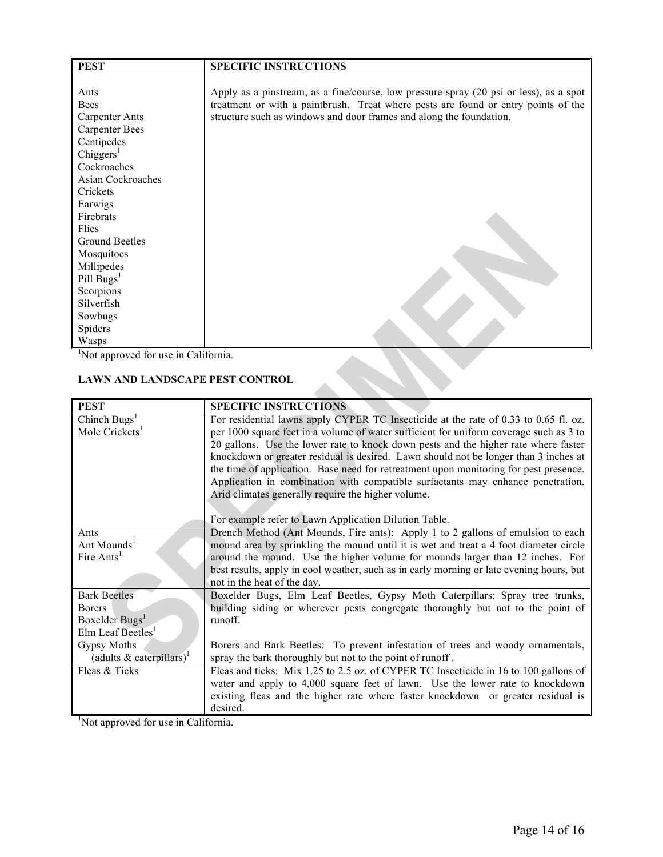| <b>PEST</b>                                      | <b>SPECIFIC INSTRUCTIONS</b>                                                           |
|--------------------------------------------------|----------------------------------------------------------------------------------------|
|                                                  |                                                                                        |
| Ants                                             | Apply as a pinstream, as a fine/course, low pressure spray (20 psi or less), as a spot |
| <b>Bees</b>                                      | treatment or with a paintbrush. Treat where pests are found or entry points of the     |
| <b>Carpenter Ants</b>                            | structure such as windows and door frames and along the foundation.                    |
| <b>Carpenter Bees</b>                            |                                                                                        |
| Centipedes                                       |                                                                                        |
| Chiggers <sup>1</sup>                            |                                                                                        |
| Cockroaches                                      |                                                                                        |
| <b>Asian Cockroaches</b>                         |                                                                                        |
| Crickets                                         |                                                                                        |
| Earwigs                                          |                                                                                        |
| Firebrats                                        |                                                                                        |
| Flies                                            |                                                                                        |
| <b>Ground Beetles</b>                            |                                                                                        |
| Mosquitoes                                       |                                                                                        |
| Millipedes                                       |                                                                                        |
| Pill Bugs <sup>1</sup>                           |                                                                                        |
| Scorpions                                        |                                                                                        |
| Silverfish                                       |                                                                                        |
| Sowbugs                                          |                                                                                        |
| Spiders                                          |                                                                                        |
| Wasps                                            |                                                                                        |
| <sup>1</sup> Not approved for use in California. |                                                                                        |
| <b>LAWN AND LANDSCAPE PEST CONTROL</b>           |                                                                                        |

## **LAWN AND LANDSCAPE PEST CONTROL**

| <b>PEST</b>                             | <b>SPECIFIC INSTRUCTIONS</b>                                                             |
|-----------------------------------------|------------------------------------------------------------------------------------------|
| Chinch Bugs <sup>1</sup>                | For residential lawns apply CYPER TC Insecticide at the rate of 0.33 to 0.65 fl. oz.     |
| Mole Crickets <sup>1</sup>              | per 1000 square feet in a volume of water sufficient for uniform coverage such as 3 to   |
|                                         | 20 gallons. Use the lower rate to knock down pests and the higher rate where faster      |
|                                         | knockdown or greater residual is desired. Lawn should not be longer than 3 inches at     |
|                                         | the time of application. Base need for retreatment upon monitoring for pest presence.    |
|                                         | Application in combination with compatible surfactants may enhance penetration.          |
|                                         | Arid climates generally require the higher volume.                                       |
|                                         |                                                                                          |
|                                         | For example refer to Lawn Application Dilution Table.                                    |
| Ants                                    | Drench Method (Ant Mounds, Fire ants): Apply 1 to 2 gallons of emulsion to each          |
| Ant Mounds <sup>1</sup>                 | mound area by sprinkling the mound until it is wet and treat a 4 foot diameter circle    |
| Fire Ants <sup>1</sup>                  | around the mound. Use the higher volume for mounds larger than 12 inches. For            |
|                                         | best results, apply in cool weather, such as in early morning or late evening hours, but |
|                                         | not in the heat of the day.                                                              |
| <b>Bark Beetles</b>                     | Boxelder Bugs, Elm Leaf Beetles, Gypsy Moth Caterpillars: Spray tree trunks,             |
| <b>Borers</b>                           | building siding or wherever pests congregate thoroughly but not to the point of          |
| Boxelder Bugs <sup>1</sup>              | runoff.                                                                                  |
| Elm Leaf Beetles <sup>1</sup>           |                                                                                          |
| Gypsy Moths                             | Borers and Bark Beetles: To prevent infestation of trees and woody ornamentals,          |
| (adults $\&$ caterpillars) <sup>1</sup> | spray the bark thoroughly but not to the point of runoff.                                |
| Fleas & Ticks                           | Fleas and ticks: Mix 1.25 to 2.5 oz. of CYPER TC Insecticide in 16 to 100 gallons of     |
|                                         | water and apply to 4,000 square feet of lawn. Use the lower rate to knockdown            |
|                                         | existing fleas and the higher rate where faster knockdown or greater residual is         |
|                                         | desired.                                                                                 |
| Not approved for use in California.     |                                                                                          |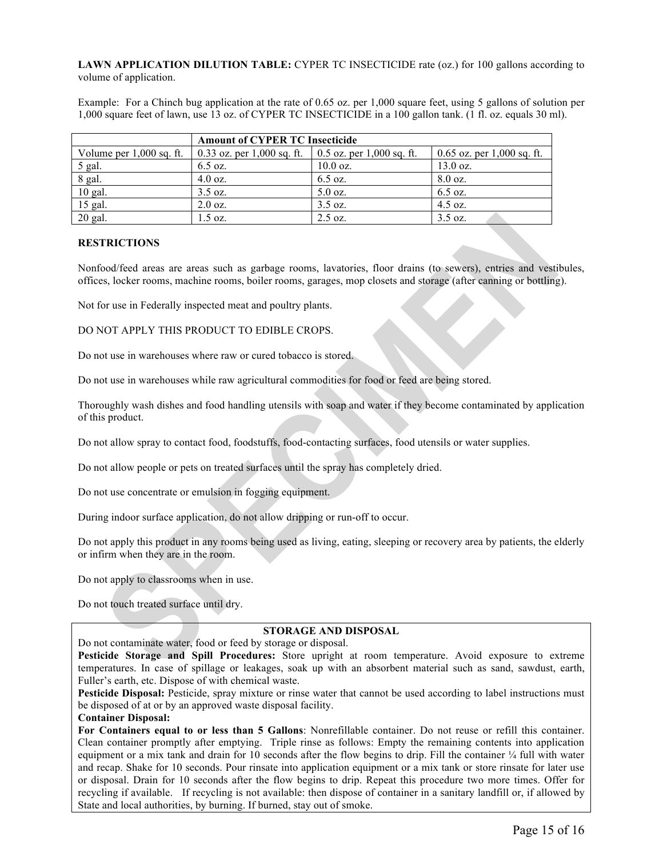**LAWN APPLICATION DILUTION TABLE:** CYPER TC INSECTICIDE rate (oz.) for 100 gallons according to volume of application.

Example: For a Chinch bug application at the rate of 0.65 oz. per 1,000 square feet, using 5 gallons of solution per 1,000 square feet of lawn, use 13 oz. of CYPER TC INSECTICIDE in a 100 gallon tank. (1 fl. oz. equals 30 ml).

|                            | <b>Amount of CYPER TC Insecticide</b>                  |                   |                              |  |  |
|----------------------------|--------------------------------------------------------|-------------------|------------------------------|--|--|
| Volume per $1,000$ sq. ft. | 0.33 oz. per 1,000 sq. ft.   0.5 oz. per 1,000 sq. ft. |                   | $0.65$ oz. per 1,000 sq. ft. |  |  |
| 5 gal.                     | $6.5 \text{ oz.}$                                      | $10.0$ oz.        | $13.0$ oz.                   |  |  |
| 8 gal.                     | $4.0 \text{ oz.}$                                      | $6.5 \text{ oz.}$ | $8.0 \text{ oz.}$            |  |  |
| $10$ gal.                  | $3.5 \text{ oz.}$                                      | $5.0 \text{ oz.}$ | $6.5 \text{ oz.}$            |  |  |
| $15$ gal.                  | $2.0 \text{ oz.}$                                      | 3.5 oz.           | $4.5 \text{ oz.}$            |  |  |
| $20$ gal.                  | $1.5 \text{ oz.}$                                      | $2.5 \text{ oz.}$ | $3.5 \text{ oz.}$            |  |  |

## **RESTRICTIONS**

Nonfood/feed areas are areas such as garbage rooms, lavatories, floor drains (to sewers), entries and vestibules, offices, locker rooms, machine rooms, boiler rooms, garages, mop closets and storage (after canning or bottling).

Not for use in Federally inspected meat and poultry plants.

DO NOT APPLY THIS PRODUCT TO EDIBLE CROPS.

Do not use in warehouses where raw or cured tobacco is stored.

Do not use in warehouses while raw agricultural commodities for food or feed are being stored.

Thoroughly wash dishes and food handling utensils with soap and water if they become contaminated by application of this product.

Do not allow spray to contact food, foodstuffs, food-contacting surfaces, food utensils or water supplies.

Do not allow people or pets on treated surfaces until the spray has completely dried.

Do not use concentrate or emulsion in fogging equipment.

During indoor surface application, do not allow dripping or run-off to occur.

Do not apply this product in any rooms being used as living, eating, sleeping or recovery area by patients, the elderly or infirm when they are in the room.

Do not apply to classrooms when in use.

Do not touch treated surface until dry.

## **STORAGE AND DISPOSAL**

Do not contaminate water, food or feed by storage or disposal.

**Pesticide Storage and Spill Procedures:** Store upright at room temperature. Avoid exposure to extreme temperatures. In case of spillage or leakages, soak up with an absorbent material such as sand, sawdust, earth, Fuller's earth, etc. Dispose of with chemical waste.

**Pesticide Disposal:** Pesticide, spray mixture or rinse water that cannot be used according to label instructions must be disposed of at or by an approved waste disposal facility.

#### **Container Disposal:**

**For Containers equal to or less than 5 Gallons**: Nonrefillable container. Do not reuse or refill this container. Clean container promptly after emptying. Triple rinse as follows: Empty the remaining contents into application equipment or a mix tank and drain for 10 seconds after the flow begins to drip. Fill the container ¼ full with water and recap. Shake for 10 seconds. Pour rinsate into application equipment or a mix tank or store rinsate for later use or disposal. Drain for 10 seconds after the flow begins to drip. Repeat this procedure two more times. Offer for recycling if available. If recycling is not available: then dispose of container in a sanitary landfill or, if allowed by State and local authorities, by burning. If burned, stay out of smoke.